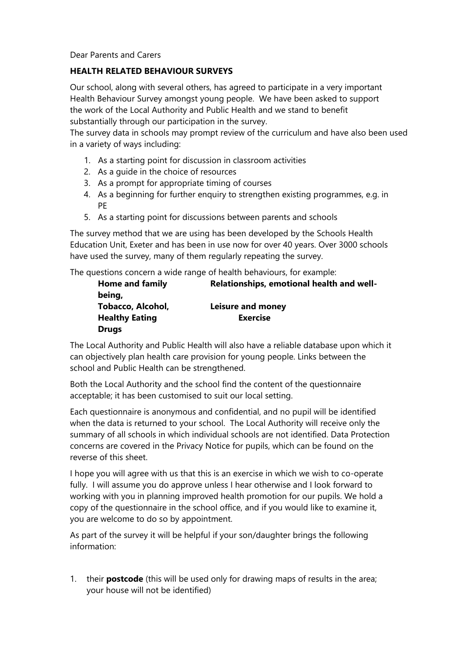#### Dear Parents and Carers

#### **HEALTH RELATED BEHAVIOUR SURVEYS**

Our school, along with several others, has agreed to participate in a very important Health Behaviour Survey amongst young people. We have been asked to support the work of the Local Authority and Public Health and we stand to benefit substantially through our participation in the survey.

The survey data in schools may prompt review of the curriculum and have also been used in a variety of ways including:

- 1. As a starting point for discussion in classroom activities
- 2. As a guide in the choice of resources
- 3. As a prompt for appropriate timing of courses
- 4. As a beginning for further enquiry to strengthen existing programmes, e.g. in PE
- 5. As a starting point for discussions between parents and schools

The survey method that we are using has been developed by the Schools Health Education Unit, Exeter and has been in use now for over 40 years. Over 3000 schools have used the survey, many of them regularly repeating the survey.

The questions concern a wide range of health behaviours, for example:

| <b>Home and family</b> | Relationships, emotional health and well- |
|------------------------|-------------------------------------------|
| being,                 |                                           |
| Tobacco, Alcohol,      | Leisure and money                         |
| <b>Healthy Eating</b>  | <b>Exercise</b>                           |
| <b>Drugs</b>           |                                           |

The Local Authority and Public Health will also have a reliable database upon which it can objectively plan health care provision for young people. Links between the school and Public Health can be strengthened.

Both the Local Authority and the school find the content of the questionnaire acceptable; it has been customised to suit our local setting.

Each questionnaire is anonymous and confidential, and no pupil will be identified when the data is returned to your school. The Local Authority will receive only the summary of all schools in which individual schools are not identified. Data Protection concerns are covered in the Privacy Notice for pupils, which can be found on the reverse of this sheet.

I hope you will agree with us that this is an exercise in which we wish to co-operate fully. I will assume you do approve unless I hear otherwise and I look forward to working with you in planning improved health promotion for our pupils. We hold a copy of the questionnaire in the school office, and if you would like to examine it, you are welcome to do so by appointment.

As part of the survey it will be helpful if your son/daughter brings the following information:

1. their **postcode** (this will be used only for drawing maps of results in the area; your house will not be identified)